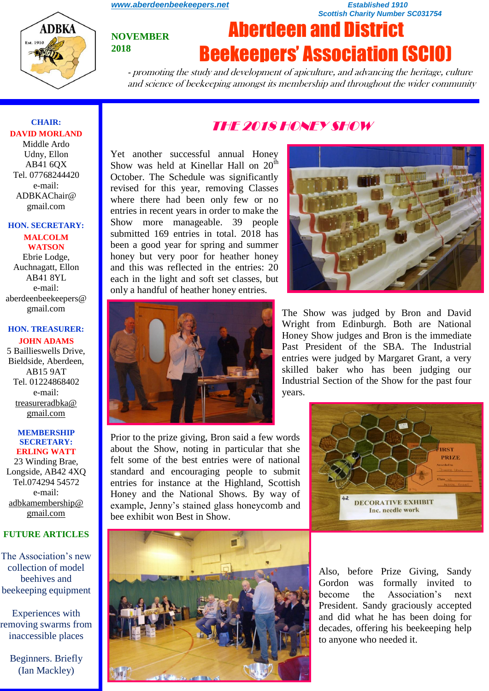*[www.aberdeenbeekeepers.net](http://www.aberdeenbeekeepers.net/) Established 1910* 

*Scottish Charity Number SC031754*

# **NOVEMBER 2018**

# Aberdeen and District Beekeepers' Association (SCIO)

- promoting the study and development of apiculture, and advancing the heritage, culture and science of beekeeping amongst its membership and throughout the wider community

# **CHAIR: DAVID MORLAND**

**ADBKA** 

Middle Ardo Udny, Ellon AB41 6QX Tel. 07768244420 e-mail: ADBKAChair@ gmail.com

#### **HON. SECRETARY:**

**MALCOLM WATSON** Ebrie Lodge, Auchnagatt, Ellon AB41 8YL e-mail: aberdeenbeekeepers@ gmail.com

#### **HON. TREASURER: JOHN ADAMS**

5 Baillieswells Drive, Bieldside, Aberdeen, AB15 9AT Tel. 01224868402 e-mail: [treasureradbka@](https://e.mail.ru/compose/?mailto=mailto%3atreasureradbka@gmail.com)  [gmail.com](https://e.mail.ru/compose/?mailto=mailto%3atreasureradbka@gmail.com)

#### **MEMBERSHIP SECRETARY: ERLING WATT**

23 Winding Brae, Longside, AB42 4XQ Tel.074294 54572 e-mail: [adbkamembership@](mailto:watterlingg@aol.com) [gmail.com](mailto:watterlingg@aol.com)

# **FUTURE ARTICLES**

The Association's new collection of model beehives and beekeeping equipment

Experiences with removing swarms from inaccessible places

Beginners. Briefly (Ian Mackley)

# THE 2018 HONEY SHOW

Yet another successful annual Honey Show was held at Kinellar Hall on  $20<sup>th</sup>$ October. The Schedule was significantly revised for this year, removing Classes where there had been only few or no entries in recent years in order to make the Show more manageable. 39 people submitted 169 entries in total. 2018 has been a good year for spring and summer honey but very poor for heather honey and this was reflected in the entries: 20 each in the light and soft set classes, but only a handful of heather honey entries.



Prior to the prize giving, Bron said a few words about the Show, noting in particular that she felt some of the best entries were of national standard and encouraging people to submit entries for instance at the Highland, Scottish Honey and the National Shows. By way of example, Jenny's stained glass honeycomb and bee exhibit won Best in Show.



The Show was judged by Bron and David Wright from Edinburgh. Both are National Honey Show judges and Bron is the immediate Past President of the SBA. The Industrial entries were judged by Margaret Grant, a very skilled baker who has been judging our Industrial Section of the Show for the past four years.





Also, before Prize Giving, Sandy Gordon was formally invited to become the Association's next President. Sandy graciously accepted and did what he has been doing for decades, offering his beekeeping help to anyone who needed it.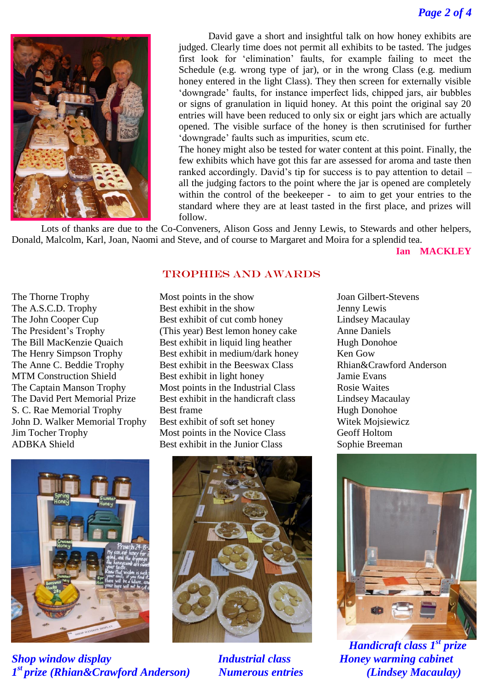

David gave a short and insightful talk on how honey exhibits are judged. Clearly time does not permit all exhibits to be tasted. The judges first look for 'elimination' faults, for example failing to meet the Schedule (e.g. wrong type of jar), or in the wrong Class (e.g. medium honey entered in the light Class). They then screen for externally visible 'downgrade' faults, for instance imperfect lids, chipped jars, air bubbles or signs of granulation in liquid honey. At this point the original say 20 entries will have been reduced to only six or eight jars which are actually opened. The visible surface of the honey is then scrutinised for further 'downgrade' faults such as impurities, scum etc.

The honey might also be tested for water content at this point. Finally, the few exhibits which have got this far are assessed for aroma and taste then ranked accordingly. David's tip for success is to pay attention to detail – all the judging factors to the point where the jar is opened are completely within the control of the beekeeper - to aim to get your entries to the standard where they are at least tasted in the first place, and prizes will follow.

Lots of thanks are due to the Co-Conveners, Alison Goss and Jenny Lewis, to Stewards and other helpers, Donald, Malcolm, Karl, Joan, Naomi and Steve, and of course to Margaret and Moira for a splendid tea.

**Ian MACKLEY**

#### TROPHIES AND AWARDS

Jim Tocher Trophy Most points in the Novice Class Geoff Holtom ADBKA Shield Best exhibit in the Junior Class Sophie Breeman

The Thorne Trophy Most points in the show Joan Gilbert-Stevens The A.S.C.D. Trophy Best exhibit in the show Jenny Lewis The John Cooper Cup Best exhibit of cut comb honey Lindsey Macaulay The President's Trophy (This year) Best lemon honey cake Anne Daniels The Bill MacKenzie Quaich Best exhibit in liquid ling heather Hugh Donohoe The Henry Simpson Trophy Best exhibit in medium/dark honey Ken Gow The Anne C. Beddie Trophy Best exhibit in the Beeswax Class Rhian&Crawford Anderson MTM Construction Shield Best exhibit in light honey Jamie Evans The Captain Manson Trophy Most points in the Industrial Class Rosie Waites The David Pert Memorial Prize Best exhibit in the handicraft class Lindsey Macaulay S. C. Rae Memorial Trophy Best frame Hugh Donohoe John D. Walker Memorial Trophy Best exhibit of soft set honey Witek Mojsiewicz



*Shop window display Industrial class Honey warming cabinet 1 st prize (Rhian&Crawford Anderson) Numerous entries (Lindsey Macaulay)*





*Handicraft class 1st prize*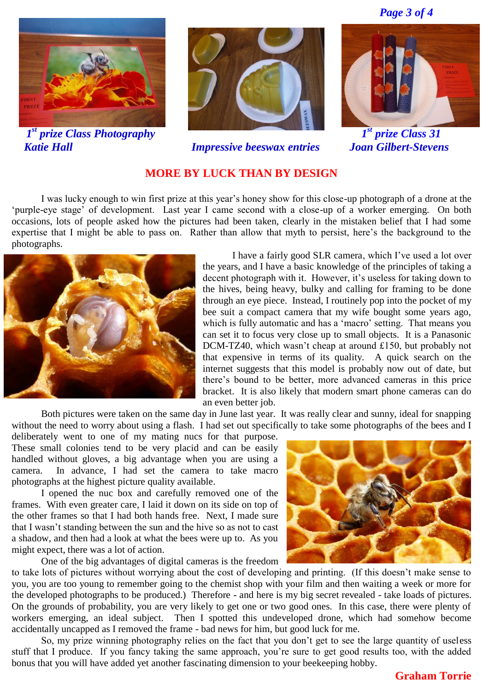*Page 3 of 4*



*Katie Hall Impressive beeswax entries Joan Gilbert-Stevens* 





*st prize Class 31*

# **MORE BY LUCK THAN BY DESIGN**

I was lucky enough to win first prize at this year's honey show for this close-up photograph of a drone at the 'purple-eye stage' of development. Last year I came second with a close-up of a worker emerging. On both occasions, lots of people asked how the pictures had been taken, clearly in the mistaken belief that I had some expertise that I might be able to pass on. Rather than allow that myth to persist, here's the background to the photographs.



I have a fairly good SLR camera, which I've used a lot over the years, and I have a basic knowledge of the principles of taking a decent photograph with it. However, it's useless for taking down to the hives, being heavy, bulky and calling for framing to be done through an eye piece. Instead, I routinely pop into the pocket of my bee suit a compact camera that my wife bought some years ago, which is fully automatic and has a 'macro' setting. That means you can set it to focus very close up to small objects. It is a Panasonic DCM-TZ40, which wasn't cheap at around £150, but probably not that expensive in terms of its quality. A quick search on the internet suggests that this model is probably now out of date, but there's bound to be better, more advanced cameras in this price bracket. It is also likely that modern smart phone cameras can do an even better job.

Both pictures were taken on the same day in June last year. It was really clear and sunny, ideal for snapping without the need to worry about using a flash. I had set out specifically to take some photographs of the bees and I

deliberately went to one of my mating nucs for that purpose. These small colonies tend to be very placid and can be easily handled without gloves, a big advantage when you are using a camera. In advance, I had set the camera to take macro photographs at the highest picture quality available.

I opened the nuc box and carefully removed one of the frames. With even greater care, I laid it down on its side on top of the other frames so that I had both hands free. Next, I made sure that I wasn't standing between the sun and the hive so as not to cast a shadow, and then had a look at what the bees were up to. As you might expect, there was a lot of action.

One of the big advantages of digital cameras is the freedom



to take lots of pictures without worrying about the cost of developing and printing. (If this doesn't make sense to you, you are too young to remember going to the chemist shop with your film and then waiting a week or more for the developed photographs to be produced.) Therefore - and here is my big secret revealed - take loads of pictures. On the grounds of probability, you are very likely to get one or two good ones. In this case, there were plenty of workers emerging, an ideal subject. Then I spotted this undeveloped drone, which had somehow become accidentally uncapped as I removed the frame - bad news for him, but good luck for me.

So, my prize winning photography relies on the fact that you don't get to see the large quantity of useless stuff that I produce. If you fancy taking the same approach, you're sure to get good results too, with the added bonus that you will have added yet another fascinating dimension to your beekeeping hobby.

# **Graham Torrie**